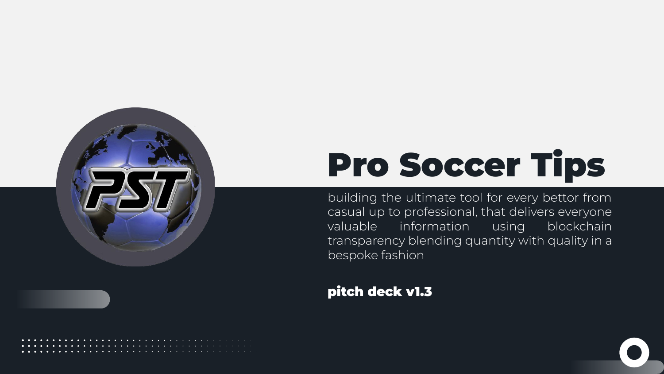

# Pro Soccer Tips

building the ultimate tool for every bettor from casual up to professional, that delivers everyone valuable information using blockchain transparency blending quantity with quality in a bespoke fashion

#### pitch deck v1.3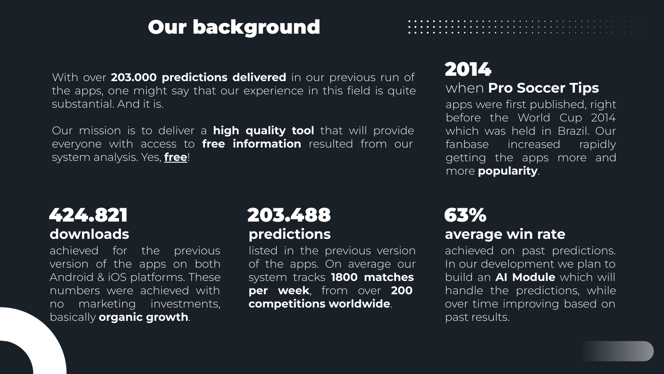# Our background

With over **203.000 predictions delivered** in our previous run of the apps, one might say that our experience in this field is quite substantial. And it is.

Our mission is to deliver a **high quality tool** that will provide everyone with access to **free information** resulted from our system analysis. Yes, **free**!

### 2014

#### when **Pro Soccer Tips**

apps were first published, right before the World Cup 2014 which was held in Brazil. Our fanbase increased rapidly getting the apps more and more **popularity**.

### **downloads** 424.821

achieved for the previous version of the apps on both Android & iOS platforms. These numbers were achieved with no marketing investments, basically **organic growth**.

#### **predictions** 203.488

listed in the previous version of the apps. On average our system tracks **1800 matches per week**, from over **200 competitions worldwide**.

### **average win rate** 63%

achieved on past predictions. In our development we plan to build an **AI Module** which will handle the predictions, while over time improving based on past results.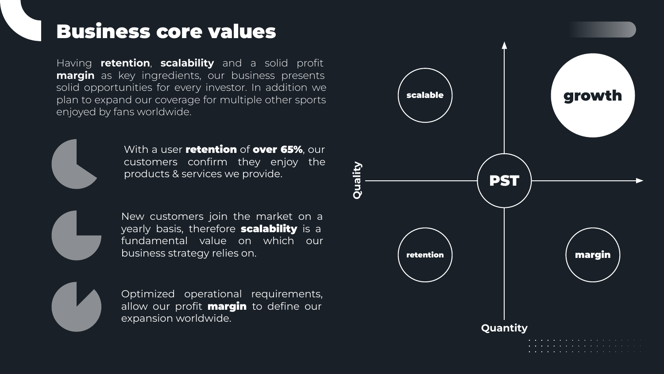### Business core values

Having **retention**, **scalability** and a solid profit **margin** as key ingredients, our business presents solid opportunities for every investor. In addition we plan to expand our coverage for multiple other sports enjoyed by fans worldwide.



With a user **retention** of **over 65%**, our customers confirm they enjoy the products & services we provide.



New customers join the market on a yearly basis, therefore scalability is a fundamental value on which our business strategy relies on.

Optimized operational requirements, allow our profit **margin** to define our expansion worldwide.

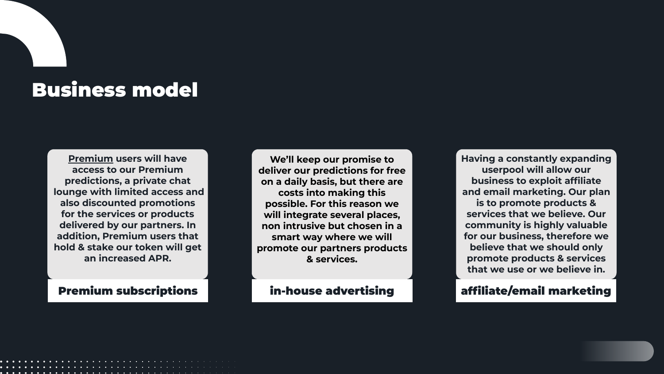# Business model

**Premium users will have access to our Premium predictions, a private chat lounge with limited access and also discounted promotions for the services or products delivered by our partners. In addition, Premium users that hold & stake our token will get an increased APR.**

**We'll keep our promise to deliver our predictions for free on a daily basis, but there are costs into making this possible. For this reason we will integrate several places, non intrusive but chosen in a smart way where we will promote our partners products & services.**

**Having a constantly expanding userpool will allow our business to exploit affiliate and email marketing. Our plan is to promote products & services that we believe. Our community is highly valuable for our business, therefore we believe that we should only promote products & services that we use or we believe in.**

#### Premium subscriptions **in-house advertising and affiliate/email marketing**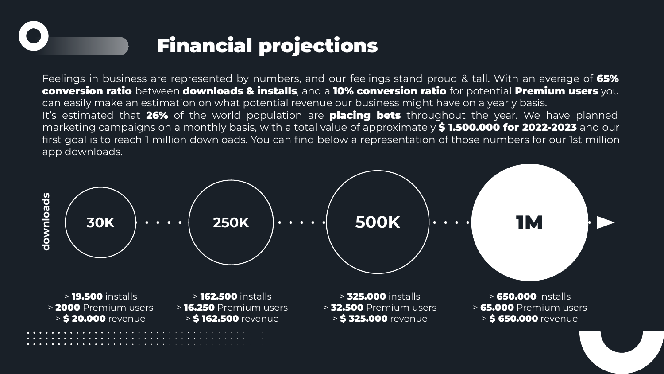# Financial projections

Feelings in business are represented by numbers, and our feelings stand proud & tall. With an average of 65% conversion ratio between downloads & installs, and a 10% conversion ratio for potential Premium users you can easily make an estimation on what potential revenue our business might have on a yearly basis. It's estimated that 26% of the world population are **placing bets** throughout the year. We have planned marketing campaigns on a monthly basis, with a total value of approximately \$1.500.000 for 2022-2023 and our first goal is to reach 1 million downloads. You can find below a representation of those numbers for our 1st million app downloads.

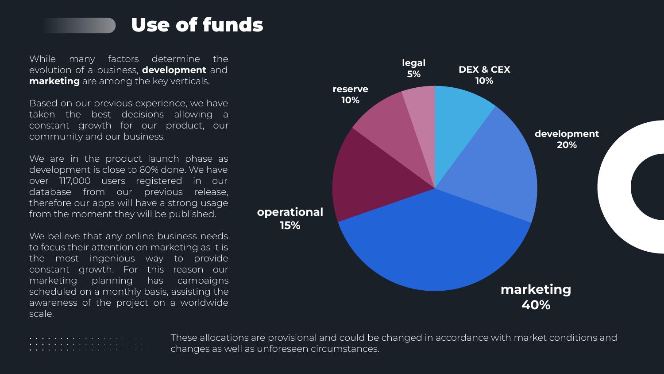

While many factors determine the evolution of a business, **development** and **marketing** are among the key verticals.

Based on our previous experience, we have taken the best decisions allowing a constant growth for our product, our community and our business.

We are in the product launch phase as development is close to 60% done. We have over 117,000 users registered in our database from our previous release, therefore our apps will have a strong usage from the moment they will be published.

We believe that any online business needs to focus their attention on marketing as it is the most ingenious way to provide constant growth. For this reason our marketing planning has campaigns scheduled on a monthly basis, assisting the awareness of the project on a worldwide scale.



These allocations are provisional and could be changed in accordance with market conditions and changes as well as unforeseen circumstances.